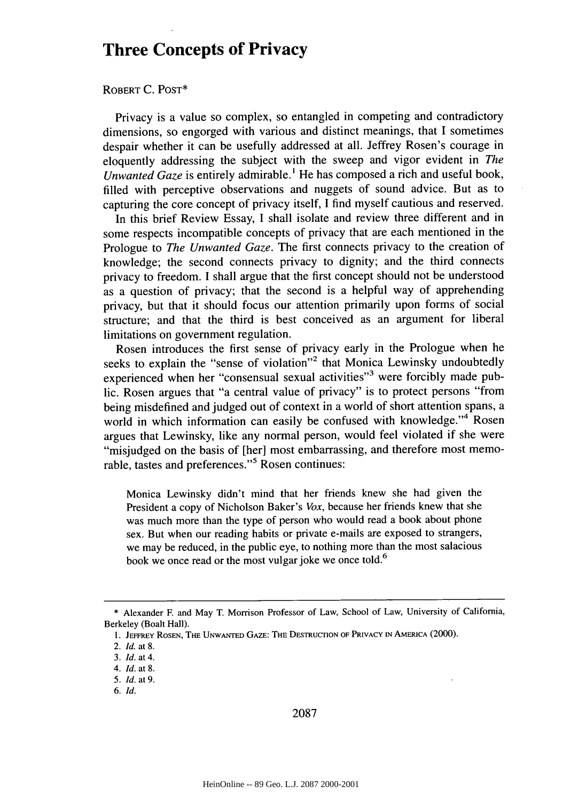## **Three Concepts of Privacy**

## ROBERT **C. POST\***

Privacy is a value so complex, so entangled in competing and contradictory dimensions, so engorged with various and distinct meanings, that I sometimes despair whether it can be usefully addressed at all. Jeffrey Rosen's courage in eloquently addressing the subject with the sweep and vigor evident in *The Unwanted Gaze* is entirely admirable.' He has composed a rich and useful book, filled with perceptive observations and nuggets of sound advice. But as to capturing the core concept of privacy itself, I find myself cautious and reserved.

In this brief Review Essay, I shall isolate and review three different and in some respects incompatible concepts of privacy that are each mentioned in the Prologue to *The Unwanted Gaze.* The first connects privacy to the creation of knowledge; the second connects privacy to dignity; and the third connects privacy to freedom. I shall argue that the first concept should not be understood as a question of privacy; that the second is a helpful way of apprehending privacy, but that it should focus our attention primarily upon forms of social structure; and that the third is best conceived as an argument for liberal limitations on government regulation.

Rosen introduces the first sense of privacy early in the Prologue when he seeks to explain the "sense of violation"<sup>2</sup> that Monica Lewinsky undoubtedly experienced when her "consensual sexual activities"<sup>3</sup> were forcibly made public. Rosen argues that "a central value of privacy" is to protect persons "from being misdefined and judged out of context in a world of short attention spans, a world in which information can easily be confused with knowledge."<sup>4</sup> Rosen argues that Lewinsky, like any normal person, would feel violated if she were "misjudged on the basis of [her] most embarrassing, and therefore most memorable, tastes and preferences."<sup>5</sup> Rosen continues:

Monica Lewinsky didn't mind that her friends knew she had given the President a copy of Nicholson Baker's *Vox,* because her friends knew that she was much more than the type of person who would read a book about phone sex. But when our reading habits or private e-mails are exposed to strangers, we may be reduced, in the public eye, to nothing more than the most salacious book we once read or the most vulgar joke we once told.<sup>6</sup>

2087

<sup>\*</sup> Alexander F. and May T. Morrison Professor of Law, School of Law, University of California, Berkeley (Boalt Hall).

**<sup>1.</sup> JEFFREY** ROSEN, **THE UNWANTED** GAZE: **TE** DESTRUCTION OF PRIVACY **IN** AMERICA (2000).

<sup>2.</sup> **Id.** at 8.

<sup>3.</sup> **Id.** at 4.

<sup>4.</sup> *Id.* at **8.**

<sup>5.</sup> **Id.** at 9.

**<sup>6.</sup> Id.**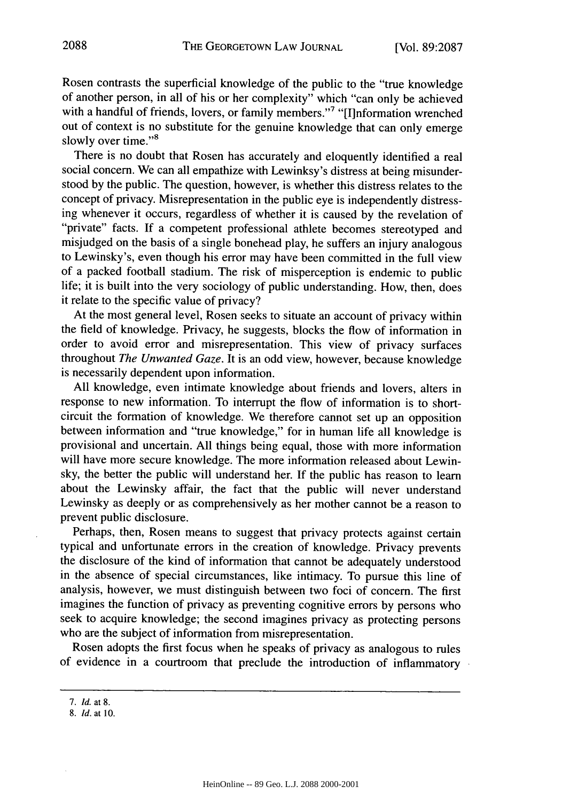Rosen contrasts the superficial knowledge of the public to the "true knowledge of another person, in all of his or her complexity" which "can only be achieved with a handful of friends, lovers, or family members."<sup>7</sup> "[I]nformation wrenched out of context is no substitute for the genuine knowledge that can only emerge slowly over time."<sup>8</sup>

There is no doubt that Rosen has accurately and eloquently identified a real social concern. We can all empathize with Lewinksy's distress at being misunderstood by the public. The question, however, is whether this distress relates to the concept of privacy. Misrepresentation in the public eye is independently distressing whenever it occurs, regardless of whether it is caused by the revelation of "private" facts. If a competent professional athlete becomes stereotyped and misjudged on the basis of a single bonehead play, he suffers an injury analogous to Lewinsky's, even though his error may have been committed in the full view of a packed football stadium. The risk of misperception is endemic to public life; it is built into the very sociology of public understanding. How, then, does it relate to the specific value of privacy?

At the most general level, Rosen seeks to situate an account of privacy within the field of knowledge. Privacy, he suggests, blocks the flow of information in order to avoid error and misrepresentation. This view of privacy surfaces throughout *The Unwanted Gaze.* It is an odd view, however, because knowledge is necessarily dependent upon information.

All knowledge, even intimate knowledge about friends and lovers, alters in response to new information. To interrupt the flow of information is to shortcircuit the formation of knowledge. We therefore cannot set up an opposition between information and "true knowledge," for in human life all knowledge is provisional and uncertain. All things being equal, those with more information will have more secure knowledge. The more information released about Lewinsky, the better the public will understand her. If the public has reason to learn about the Lewinsky affair, the fact that the public will never understand Lewinsky as deeply or as comprehensively as her mother cannot be a reason to prevent public disclosure.

Perhaps, then, Rosen means to suggest that privacy protects against certain typical and unfortunate errors in the creation of knowledge. Privacy prevents the disclosure of the kind of information that cannot be adequately understood in the absence of special circumstances, like intimacy. To pursue this line of analysis, however, we must distinguish between two foci of concern. The first imagines the function of privacy as preventing cognitive errors by persons who seek to acquire knowledge; the second imagines privacy as protecting persons who are the subject of information from misrepresentation.

Rosen adopts the first focus when he speaks of privacy as analogous to rules of evidence in a courtroom that preclude the introduction of inflammatory

<sup>7.</sup> *Id.* at **8.**

**<sup>8.</sup>** *Id.* at **10.**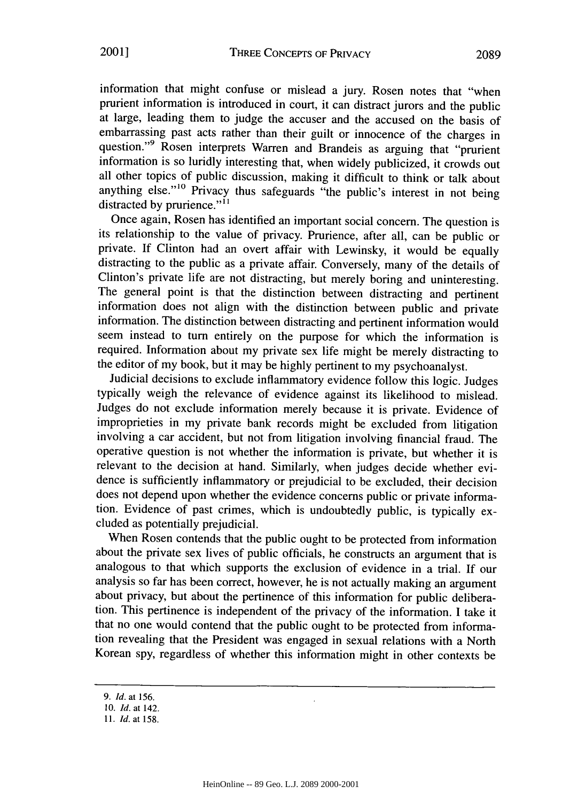information that might confuse or mislead a jury. Rosen notes that "when prurient information is introduced in court, it can distract jurors and the public at large, leading them to judge the accuser and the accused on the basis of embarrassing past acts rather than their guilt or innocence of the charges in question."<sup>9</sup> Rosen interprets Warren and Brandeis as arguing that "prurient information is so luridly interesting that, when widely publicized, it crowds out all other topics of public discussion, making it difficult to think or talk about anything else."<sup>10</sup> Privacy thus safeguards "the public's interest in not being distracted by prurience."<sup>11</sup>

Once again, Rosen has identified an important social concern. The question is its relationship to the value of privacy. Prurience, after all, can be public or private. If Clinton had an overt affair with Lewinsky, it would be equally distracting to the public as a private affair. Conversely, many of the details of Clinton's private life are not distracting, but merely boring and uninteresting. The general point is that the distinction between distracting and pertinent information does not align with the distinction between public and private information. The distinction between distracting and pertinent information would seem instead to turn entirely on the purpose for which the information is required. Information about my private sex life might be merely distracting to the editor of my book, but it may be highly pertinent to my psychoanalyst.

Judicial decisions to exclude inflammatory evidence follow this logic. Judges typically weigh the relevance of evidence against its likelihood to mislead. Judges do not exclude information merely because it is private. Evidence of improprieties in my private bank records might be excluded from litigation involving a car accident, but not from litigation involving financial fraud. The operative question is not whether the information is private, but whether it is relevant to the decision at hand. Similarly, when judges decide whether evidence is sufficiently inflammatory or prejudicial to be excluded, their decision does not depend upon whether the evidence concerns public or private information. Evidence of past crimes, which is undoubtedly public, is typically excluded as potentially prejudicial.

When Rosen contends that the public ought to be protected from information about the private sex lives of public officials, he constructs an argument that is analogous to that which supports the exclusion of evidence in a trial. If our analysis so far has been correct, however, he is not actually making an argument about privacy, but about the pertinence of this information for public deliberation. This pertinence is independent of the privacy of the information. I take it that no one would contend that the public ought to be protected from information revealing that the President was engaged in sexual relations with a North Korean spy, regardless of whether this information might in other contexts be

*<sup>9.</sup> Id.* at **156.**

**<sup>10.</sup>** *Id.* at 142.

*<sup>11.</sup> Id.* at 158.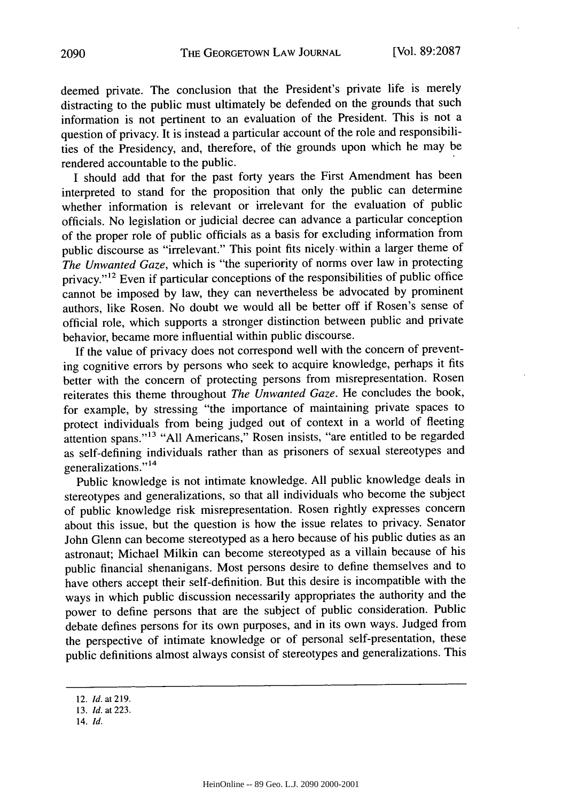deemed private. The conclusion that the President's private life is merely distracting to the public must ultimately be defended on the grounds that such information is not pertinent to an evaluation of the President. This is not a question of privacy. It is instead a particular account of the role and responsibilities of the Presidency, and, therefore, of the grounds upon which he may be rendered accountable to the public.

I should add that for the past forty years the First Amendment has been interpreted to stand for the proposition that only the public can determine whether information is relevant or irrelevant for the evaluation of public officials. No legislation or judicial decree can advance a particular conception of the proper role of public officials as a basis for excluding information from public discourse as "irrelevant." This point fits nicely, within a larger theme of *The Unwanted Gaze,* which is "the superiority of norms over law in protecting privacy."<sup>12</sup> Even if particular conceptions of the responsibilities of public office cannot be imposed by law, they can nevertheless be advocated by prominent authors, like Rosen. No doubt we would all be better off if Rosen's sense of official role, which supports a stronger distinction between public and private behavior, became more influential within public discourse.

If the value of privacy does not correspond well with the concern of preventing cognitive errors by persons who seek to acquire knowledge, perhaps it fits better with the concern of protecting persons from misrepresentation. Rosen reiterates this theme throughout *The Unwanted Gaze.* He concludes the book, for example, by stressing "the importance of maintaining private spaces to protect individuals from being judged out of context in a world of fleeting attention spans." **13** "All Americans," Rosen insists, "are entitled to be regarded as self-defining individuals rather than as prisoners of sexual stereotypes and generalizations."<sup>14</sup>

Public knowledge is not intimate knowledge. All public knowledge deals in stereotypes and generalizations, so that all individuals who become the subject of public knowledge risk misrepresentation. Rosen rightly expresses concern about this issue, but the question is how the issue relates to privacy. Senator John Glenn can become stereotyped as a hero because of his public duties as an astronaut; Michael Milkin can become stereotyped as a villain because of his public financial shenanigans. Most persons desire to define themselves and to have others accept their self-definition. But this desire is incompatible with the ways in which public discussion necessarily appropriates the authority and the power to define persons that are the subject of public consideration. Public debate defines persons for its own purposes, and in its own ways. Judged from the perspective of intimate knowledge or of personal self-presentation, these public definitions almost always consist of stereotypes and generalizations. This

<sup>12.</sup> *Id.* at 219.

*<sup>13.</sup> Id.* at 223.

<sup>14.</sup> *Id.*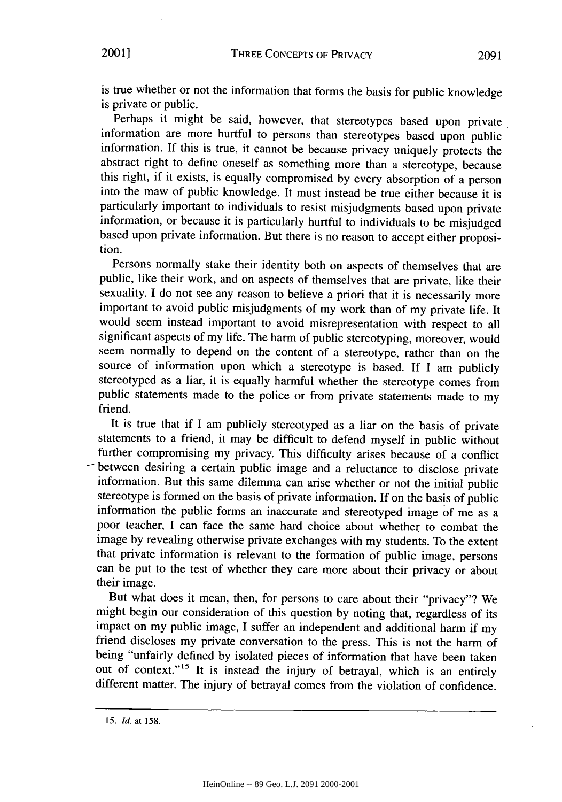is true whether or not the information that forms the basis for public knowledge is private or public.

Perhaps it might be said, however, that stereotypes based upon private information are more hurtful to persons than stereotypes based upon public information. If this is true, it cannot be because privacy uniquely protects the abstract right to define oneself as something more than a stereotype, because this right, if it exists, is equally compromised by every absorption of a person into the maw of public knowledge. It must instead be true either because it is particularly important to individuals to resist misjudgments based upon private information, or because it is particularly hurtful to individuals to be misjudged based upon private information. But there is no reason to accept either proposition.

Persons normally stake their identity both on aspects of themselves that are public, like their work, and on aspects of themselves that are private, like their sexuality. I do not see any reason to believe a priori that it is necessarily more important to avoid public misjudgments of my work than of my private life. It would seem instead important to avoid misrepresentation with respect to all significant aspects of my life. The harm of public stereotyping, moreover, would seem normally to depend on the content of a stereotype, rather than on the source of information upon which a stereotype is based. If I am publicly stereotyped as a liar, it is equally harmful whether the stereotype comes from public statements made to the police or from private statements made to my friend.

It is true that if I am publicly stereotyped as a liar on the basis of private statements to a friend, it may be difficult to defend myself in public without further compromising my privacy. This difficulty arises because of a conflict - between desiring a certain public image and a reluctance to disclose private information. But this same dilemma can arise whether or not the initial public stereotype is formed on the basis of private information. If on the basis of public information the public forms an inaccurate and stereotyped image of me as a poor teacher, I can face the same hard choice about whether to combat the image by revealing otherwise private exchanges with my students. To the extent that private information is relevant to the formation of public image, persons can be put to the test of whether they care more about their privacy or about their image.

But what does it mean, then, for persons to care about their "privacy"? We might begin our consideration of this question by noting that, regardless of its impact on my public image, I suffer an independent and additional harm if my friend discloses my private conversation to the press. This is not the harm of being "unfairly defined by isolated pieces of information that have been taken out of context."<sup>15</sup> It is instead the injury of betrayal, which is an entirely different matter. The injury of betrayal comes from the violation of confidence.

<sup>15.</sup> *Id.* at 158.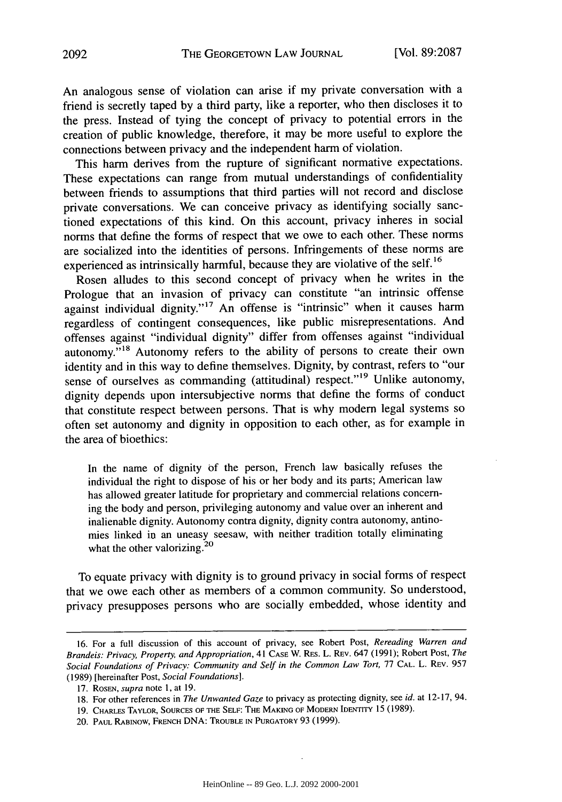An analogous sense of violation can arise if my private conversation with a friend is secretly taped by a third party, like a reporter, who then discloses it to the press. Instead of tying the concept of privacy to potential errors in the creation of public knowledge, therefore, it may be more useful to explore the connections between privacy and the independent harm of violation.

This harm derives from the rupture of significant normative expectations. These expectations can range from mutual understandings of confidentiality between friends to assumptions that third parties will not record and disclose private conversations. We can conceive privacy as identifying socially sanctioned expectations of this kind. On this account, privacy inheres in social norms that define the forms of respect that we owe to each other. These norms are socialized into the identities of persons. Infringements of these norms are experienced as intrinsically harmful, because they are violative of the self. **<sup>16</sup>**

Rosen alludes to this second concept of privacy when he writes in the Prologue that an invasion of privacy can constitute "an intrinsic offense against individual dignity."<sup>17</sup> An offense is "intrinsic" when it causes harm regardless of contingent consequences, like public misrepresentations. And offenses against "individual dignity" differ from offenses against "individual autonomy."<sup>18</sup> Autonomy refers to the ability of persons to create their own identity and in this way to define themselves. Dignity, by contrast, refers to "our sense of ourselves as commanding (attitudinal) respect."<sup>19</sup> Unlike autonomy, dignity depends upon intersubjective norms that define the forms of conduct that constitute respect between persons. That is why modem legal systems so often set autonomy and dignity in opposition to each other, as for example in the area of bioethics:

In the name of dignity of the person, French law basically refuses the individual the right to dispose of his or her body and its parts; American law has allowed greater latitude for proprietary and commercial relations concerning the body and person, privileging autonomy and value over an inherent and inalienable dignity. Autonomy contra dignity, dignity contra autonomy, antinomies linked in an uneasy seesaw, with neither tradition totally eliminating what the other valorizing.<sup>20</sup>

To equate privacy with dignity is to ground privacy in social forms of respect that we owe each other as members of a common community. So understood, privacy presupposes persons who are socially embedded, whose identity and

<sup>16.</sup> For a full discussion of this account of privacy, see Robert Post, *Rereading Warren and Brandeis: Privacy, Property, and Appropriation,* 41 **CASE** W. RES. L. REV. 647 (1991); Robert Post, *The Social Foundations of Privacy: Community and Self in the Common Law Tort,* 77 **CAL.** L. REV. 957 (1989) [hereinafter Post, *Social Foundations].*

<sup>17.</sup> ROSEN, *supra* note **1,** at 19.

<sup>18.</sup> For other references in *The Unwanted Gaze* to privacy as protecting dignity, see *id.* at 12-17, 94.

<sup>19.</sup> CHARLES TAYLOR, **SOURCES** OF **THE SELF:** THE **MAKING OF** MODERN IDENTITY 15 (1989).

<sup>20.</sup> PAUL RABINOW, FRENCH DNA: TROUBLE **IN** PURGATORY 93 (1999).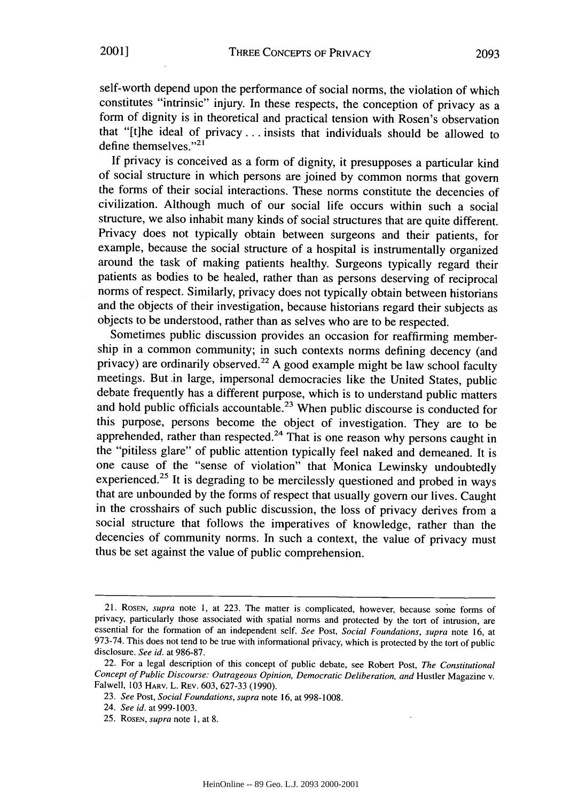self-worth depend upon the performance of social norms, the violation of which constitutes "intrinsic" injury. In these respects, the conception of privacy as a form of dignity is in theoretical and practical tension with Rosen's observation that "[t]he ideal of privacy **...** insists that individuals should be allowed to define themselves."<sup>21</sup>

If privacy is conceived as a form of dignity, it presupposes a particular kind of social structure in which persons are joined by common norms that govern the forms of their social interactions. These norms constitute the decencies of civilization. Although much of our social life occurs within such a social structure, we also inhabit many kinds of social structures that are quite different. Privacy does not typically obtain between surgeons and their patients, for example, because the social structure of a hospital is instrumentally organized around the task of making patients healthy. Surgeons typically regard their patients as bodies to be healed, rather than as persons deserving of reciprocal norms of respect. Similarly, privacy does not typically obtain between historians and the objects of their investigation, because historians regard their subjects as objects to be understood, rather than as selves who are to be respected.

Sometimes public discussion provides an occasion for reaffirming membership in a common community; in such contexts norms defining decency (and privacy) are ordinarily observed.<sup>22</sup> A good example might be law school faculty meetings. But in large, impersonal democracies like the United States, public debate frequently has a different purpose, which is to understand public matters and hold public officials accountable.<sup>23</sup> When public discourse is conducted for this purpose, persons become the object of investigation. They are to be apprehended, rather than respected.<sup>24</sup> That is one reason why persons caught in the "pitiless glare" of public attention typically feel naked and demeaned. It is one cause of the "sense of violation" that 'Monica Lewinsky undoubtedly experienced.<sup>25</sup> It is degrading to be mercilessly questioned and probed in ways that are unbounded by the forms of respect that usually govern our lives. Caught in the crosshairs of such public discussion, the loss of privacy derives from a social structure that follows the imperatives of knowledge, rather than the decencies of community norms. In such a context, the value of privacy must thus be set against the value of public comprehension.

<sup>21.</sup> ROSEN, *supra* note 1, at 223. The matter is complicated, however, because some forms of privacy, particularly those associated with spatial norms and protected by the tort of intrusion, are essential for the formation of an independent self. *See* Post, *Social Foundations, supra* note 16, at 973-74. This does not tend to be true with informational privacy, which is protected by the tort of public disclosure. *See id.* at 986-87.

<sup>22.</sup> For a legal description of this concept of public debate, see Robert Post, *The Constitutional Concept of Public Discourse: Outrageous Opinion, Democratic Deliberation, and* Hustler Magazine v. Falwell, 103 HARv. L. REV. 603, 627-33 (1990).

<sup>23.</sup> *See* Post, *Social Foundations, supra* note 16, at 998-1008.

<sup>24.</sup> *See id.* at 999-1003.

<sup>25.</sup> ROSEN, *supra* note 1, at 8.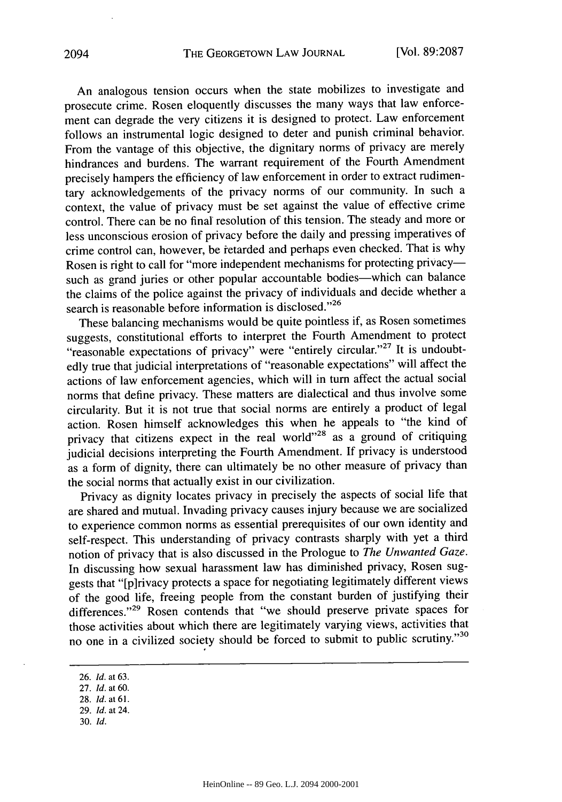An analogous tension occurs when the state mobilizes to investigate and prosecute crime. Rosen eloquently discusses the many ways that law enforcement can degrade the very citizens it is designed to protect. Law enforcement follows an instrumental logic designed to deter and punish criminal behavior. From the vantage of this objective, the dignitary norms of privacy are merely hindrances and burdens. The warrant requirement of the Fourth Amendment precisely hampers the efficiency of law enforcement in order to extract rudimentary acknowledgements of the privacy norms of our community. In such a context, the value of privacy must be set against the value of effective crime control. There can be no final resolution of this tension. The steady and more or less unconscious erosion of privacy before the daily and pressing imperatives of crime control can, however, be ietarded and perhaps even checked. That is why Rosen is right to call for "more independent mechanisms for protecting privacysuch as grand juries or other popular accountable bodies-which can balance the claims of the police against the privacy of individuals and decide whether a search is reasonable before information is disclosed."<sup>26</sup>

These balancing mechanisms would be quite pointless if, as Rosen sometimes suggests, constitutional efforts to interpret the Fourth Amendment to protect "reasonable expectations of privacy" were "entirely circular."<sup>27</sup> It is undoubtedly true that judicial interpretations of "reasonable expectations" will affect the actions of law enforcement agencies, which will in turn affect the actual social norms that define privacy. These matters are dialectical and thus involve some circularity. But it is not true that social norms are entirely a product of legal action. Rosen himself acknowledges this when he appeals to "the kind of privacy that citizens expect in the real world"<sup>28</sup> as a ground of critiquing judicial decisions interpreting the Fourth Amendment. If privacy is understood as a form of dignity, there can ultimately be no other measure of privacy than the social norms that actually exist in our civilization.

Privacy as dignity locates privacy in precisely the aspects of social life that are shared and mutual. Invading privacy causes injury because we are socialized to experience common norms as essential prerequisites of our own identity and self-respect. This understanding of privacy contrasts sharply with yet a third notion of privacy that is also discussed in the Prologue to *The Unwanted Gaze.* In discussing how sexual harassment law has diminished privacy, Rosen suggests that "[p]rivacy protects a space for negotiating legitimately different views of the good life, freeing people from the constant burden of justifying their differences."<sup>29</sup> Rosen contends that "we should preserve private spaces for those activities about which there are legitimately varying views, activities that no one in a civilized society should be forced to submit to public scrutiny."30

- 29. *Id.* at 24.
- 30. *Id.*

<sup>26.</sup> *Id.* at 63.

<sup>27.</sup> *Id.* at 60.

<sup>28.</sup> Id. at 61.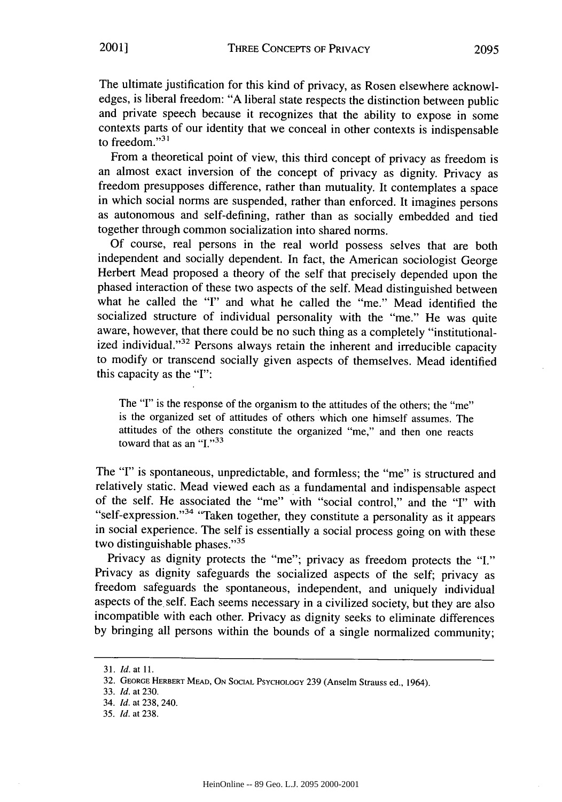The ultimate justification for this kind of privacy, as Rosen elsewhere acknowledges, is liberal freedom: "A liberal state respects the distinction between public and private speech because it recognizes that the ability to expose in some contexts parts of our identity that we conceal in other contexts is indispensable to freedom. $131$ 

From a theoretical point of view, this third concept of privacy as freedom is an almost exact inversion of the concept of privacy as dignity. Privacy as freedom presupposes difference, rather than mutuality. It contemplates a space in which social norms are suspended, rather than enforced. It imagines persons as autonomous and self-defining, rather than as socially embedded and tied together through common socialization into shared norms.

Of course, real persons in the real world possess selves that are both independent and socially dependent. In fact, the American sociologist George Herbert Mead proposed a theory of the self that precisely depended upon the phased interaction of these two aspects of the self. Mead distinguished between what he called the "I" and what he called the "me." Mead identified the socialized structure of individual personality with the "me." He was quite aware, however, that there could be no such thing as a completely "institutionalized individual."<sup>32</sup> Persons always retain the inherent and irreducible capacity to modify or transcend socially given aspects of themselves. Mead identified this capacity as the **"I":**

The "I" is the response of the organism to the attitudes of the others; the "me" is the organized set of attitudes of others which one himself assumes. The attitudes of the others constitute the organized "me," and then one reacts toward that as an  $\cdot$ <sup>1</sup>.<sup> $,33$ </sup>

The **"I"** is spontaneous, unpredictable, and formless; the "me" is structured and relatively static. Mead viewed each as a fundamental and indispensable aspect of the self. He associated the "me" with "social control," and the "I" with "self-expression."<sup>34</sup> "Taken together, they constitute a personality as it appears in social experience. The self is essentially a social process going on with these two distinguishable phases." $35$ 

Privacy as dignity protects the "me"; privacy as freedom protects the "I." Privacy as dignity safeguards the socialized aspects of the self; privacy as freedom safeguards the spontaneous, independent, and uniquely individual aspects of the self. Each seems necessary in a civilized society, but they are also incompatible with each other. Privacy as dignity seeks to eliminate differences by bringing all persons within the bounds of a single normalized community;

<sup>31.</sup> *Id.* at 11.

<sup>32.</sup> **GEORGE** HERBERT **MEAD, ON SOCIAL** PSYCHOLOGY 239 (Anselm Strauss ed., 1964).

<sup>33.</sup> *Id.* at 230.

<sup>34.</sup> *Id.* at 238, 240.

<sup>35.</sup> *Id.* at 238.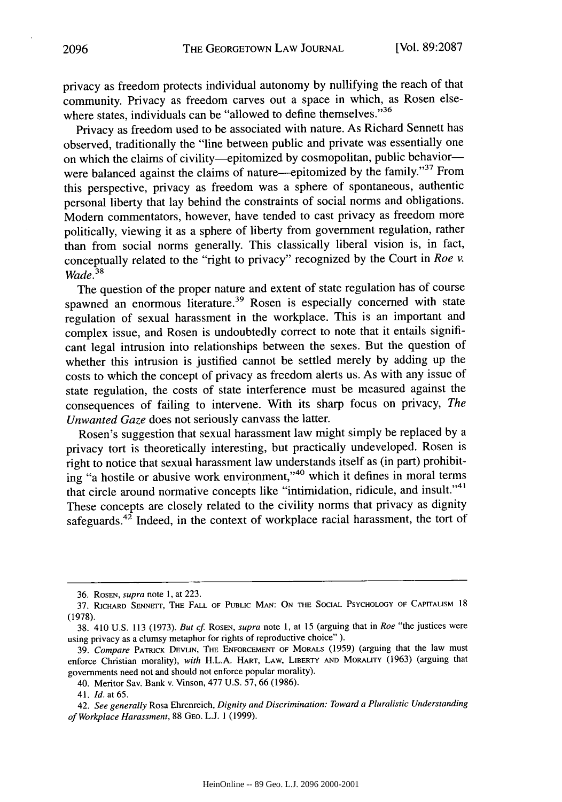privacy as freedom protects individual autonomy by nullifying the reach of that community. Privacy as freedom carves out a space in which, as Rosen elsewhere states, individuals can be "allowed to define themselves."<sup>36</sup>

Privacy as freedom used to be associated with nature. As Richard Sennett has observed, traditionally the "line between public and private was essentially one on which the claims of civility-epitomized by cosmopolitan, public behaviorwere balanced against the claims of nature---epitomized by the family."<sup>37</sup> From this perspective, privacy as freedom was a sphere of spontaneous, authentic personal liberty that lay behind the constraints of social norms and obligations. Modem commentators, however, have tended to cast privacy as freedom more politically, viewing it as a sphere of liberty from government regulation, rather than from social norms generally. This classically liberal vision is, in fact, conceptually related to the "right to privacy" recognized by the Court in *Roe v. Wade. 3 8*

The question of the proper nature and extent of state regulation has of course spawned an enormous literature.<sup>39</sup> Rosen is especially concerned with state regulation of sexual harassment in the workplace. This is an important and complex issue, and Rosen is undoubtedly correct to note that it entails significant legal intrusion into relationships between the sexes. But the question of whether this intrusion is justified cannot be settled merely by adding up the costs to which the concept of privacy as freedom alerts us. As with any issue of state regulation, the costs of state interference must be measured against the consequences of failing to intervene. With its sharp focus on privacy, *The Unwanted Gaze* does not seriously canvass the latter.

Rosen's suggestion that sexual harassment law might simply be replaced by a privacy tort is theoretically interesting, but practically undeveloped. Rosen is right to notice that sexual harassment law understands itself as (in part) prohibiting "a hostile or abusive work environment,"<sup>40</sup> which it defines in moral terms that circle around normative concepts like "intimidation, ridicule, and insult."<sup>41</sup> These concepts are closely related to the civility norms that privacy as dignity safeguards.<sup>42</sup> Indeed, in the context of workplace racial harassment, the tort of

<sup>36.</sup> ROSEN, *supra* note 1, at 223.

<sup>37.</sup> RICHARD SENNETr, THE FALL OF **PUBLIC MAN: ON THE SOCIAL** PSYCHOLOGY OF CAPITALISM 18 (1978).

<sup>38. 410</sup> U.S. 113 (1973). *But cf* ROSEN, *supra* note 1, at 15 (arguing that in *Roe* "the justices were using privacy as a clumsy metaphor for rights of reproductive choice" ).

<sup>39.</sup> *Compare* PATRICK DEVLtN, THE **ENFORCEMENT** OF MORALS (1959) (arguing that the law must enforce Christian morality), *with* H.L.A. HART, LAW, LIBERTY **AND** MORALITY (1963) (arguing that governments need not and should not enforce popular morality).

<sup>40.</sup> Meritor Say. Bank v. Vinson, 477 **U.S.** 57, 66 (1986).

<sup>41.</sup> Id. at 65.

<sup>42.</sup> *See generally* Rosa Ehrenreich, *Dignity and Discrimination: Toward a Pluralistic Understanding of Workplace Harassment,* 88 GEO. L.J. 1 (1999).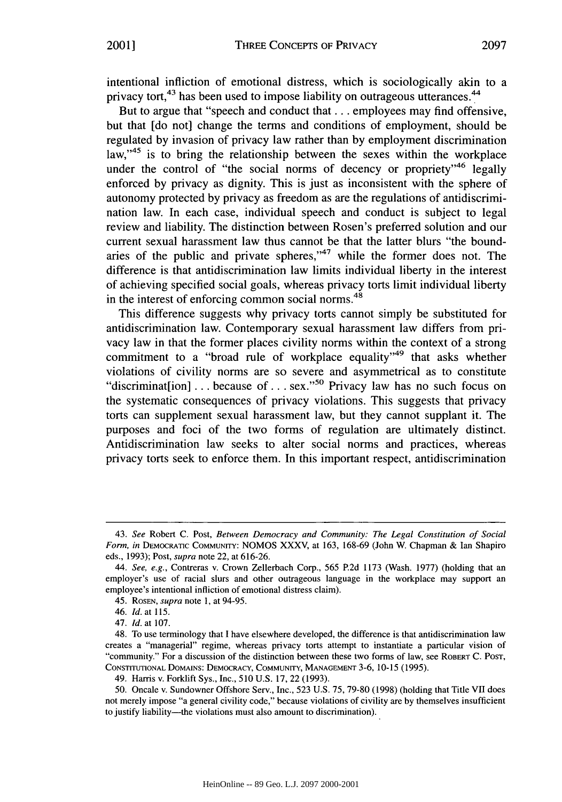intentional infliction of emotional distress, which is sociologically akin to a privacy tort,<sup>43</sup> has been used to impose liability on outrageous utterances.<sup>4</sup>

But to argue that "speech and conduct that **...** employees may find offensive, but that [do not] change the terms and conditions of employment, should be regulated by invasion of privacy law rather than by employment discrimination law, $145$  is to bring the relationship between the sexes within the workplace under the control of "the social norms of decency or propriety"  $46$  legally enforced by privacy as dignity. This is just as inconsistent with the sphere of autonomy protected by privacy as freedom as are the regulations of antidiscrimination law. In each case, individual speech and conduct is subject to legal review and liability. The distinction between Rosen's preferred solution and our current sexual harassment law thus cannot be that the latter blurs "the boundaries of the public and private spheres," $47$  while the former does not. The difference is that antidiscrimination law limits individual liberty in the interest of achieving specified social goals, whereas privacy torts limit individual liberty in the interest of enforcing common social norms. $48$ 

This difference suggests why privacy torts cannot simply be substituted for antidiscrimination law. Contemporary sexual harassment law differs from privacy law in that the former places civility norms within the context of a strong commitment to a "broad rule of workplace equality"<sup>49</sup> that asks whether violations of civility norms are so severe and asymmetrical as to constitute "discriminat[ion] ... because of ... sex."<sup>50</sup> Privacy law has no such focus on the systematic consequences of privacy violations. This suggests that privacy torts can supplement sexual harassment law, but they cannot supplant it. The purposes and foci of the two forms of regulation are ultimately distinct. Antidiscrimination law seeks to alter social norms and practices, whereas privacy torts seek to enforce them. In this important respect, antidiscrimination

<sup>43.</sup> *See* Robert C. Post, *Between Democracy and Community: The Legal Constitution of Social* Form, *in* DEMOCRATIC COMMUNITY: NOMOS XXXV, at 163, 168-69 (John W. Chapman & Ian Shapiro eds., 1993); Post, *supra* note 22, at 616-26.

*<sup>44.</sup> See, e.g.,* Contreras v. Crown Zellerbach Corp., 565 P.2d 1173 (Wash. 1977) (holding that an employer's use of racial slurs and other outrageous language in the workplace may support an employee's intentional infliction of emotional distress claim).

<sup>45.</sup> ROSEN, *supra* note 1, at 94-95.

<sup>46.</sup> *Id.* at 115.

<sup>47.</sup> *Id.* at 107.

<sup>48.</sup> To use terminology that I have elsewhere developed, the difference is that antidiscrimination law creates a "managerial" regime, whereas privacy torts attempt to instantiate a particular vision of "community." For a discussion of the distinction between these two forms of law, see ROBERT C. POST, **CONSTITUTIONAL** DOMAINS: DEMOCRACY, **COMMUNITY, MANAGEMENT** 3-6, 10-15 (1995).

<sup>49.</sup> Harris v. Forklift Sys., Inc., 510 U.S. **17,** 22 (1993).

<sup>50.</sup> Oncale v. Sundowner Offshore Serv., Inc., 523 U.S. 75, 79-80 (1998) (holding that Title VII does not merely impose "a general civility code," because violations of civility are by themselves insufficient to justify liability—the violations must also amount to discrimination).